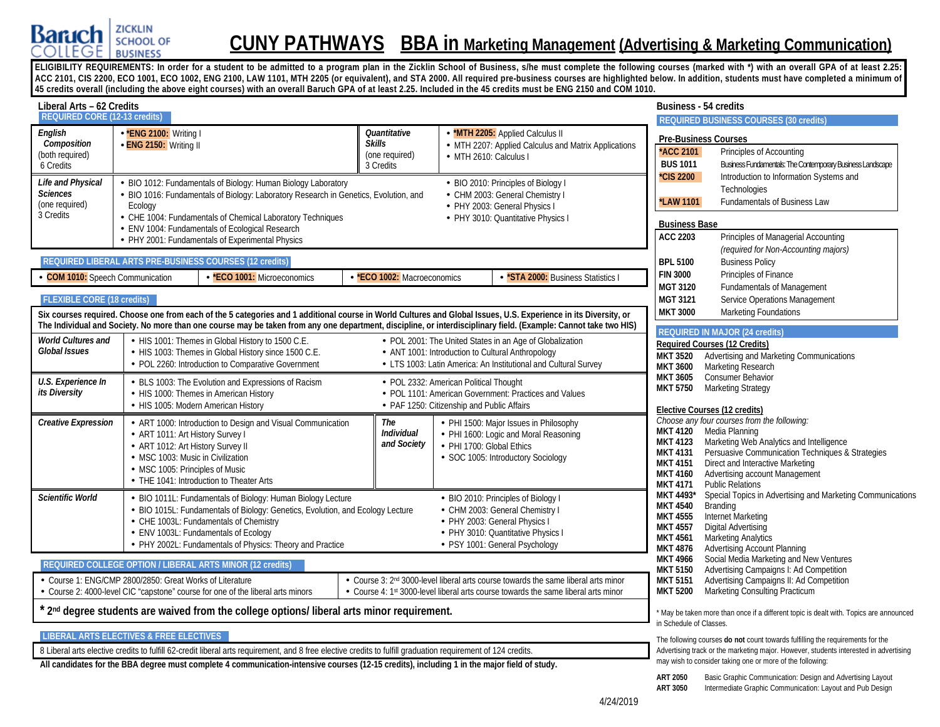

# **CUNY PATHWAYS BBA in Marketing Management (Advertising & Marketing Communication)**

ELIGIBILITY REQUIREMENTS: In order for a student to be admitted to a program plan in the Zicklin School of Business, s/he must complete the following courses (marked with \*) with an overall GPA of at least 2.25: ACC 2101, CIS 2200, ECO 1001, ECO 1002, ENG 2100, LAW 1101, MTH 2205 (or equivalent), and STA 2000. All required pre-business courses are highlighted below. In addition, students must have completed a minimum of **45 credits overall (including the above eight courses) with an overall Baruch GPA of at least 2.25. Included in the 45 credits must be ENG 2150 and COM 1010.**

| Liberal Arts - 62 Credits                                           |                                                                                                                                                                                                                                                                                              |                                                              |                                                                                      |                                                                                                                                                                                      | <b>Business - 54 credits</b>                                                                                   |                                                                                                                                                                                                                                                                |
|---------------------------------------------------------------------|----------------------------------------------------------------------------------------------------------------------------------------------------------------------------------------------------------------------------------------------------------------------------------------------|--------------------------------------------------------------|--------------------------------------------------------------------------------------|--------------------------------------------------------------------------------------------------------------------------------------------------------------------------------------|----------------------------------------------------------------------------------------------------------------|----------------------------------------------------------------------------------------------------------------------------------------------------------------------------------------------------------------------------------------------------------------|
| <b>REQUIRED CORE (12-13 credits)</b>                                |                                                                                                                                                                                                                                                                                              |                                                              |                                                                                      |                                                                                                                                                                                      |                                                                                                                | <b>REQUIRED BUSINESS COURSES (30 credits)</b>                                                                                                                                                                                                                  |
| English<br>Composition<br>(both required)<br>6 Credits              | - *ENG 2100: Writing I<br>- ENG 2150: Writing II                                                                                                                                                                                                                                             | Quantitative<br><b>Skills</b><br>(one required)<br>3 Credits | - MTH 2610: Calculus I                                                               | *MTH 2205: Applied Calculus II<br>MTH 2207: Applied Calculus and Matrix Applications                                                                                                 | *ACC 2101<br><b>BUS 1011</b>                                                                                   | <b>Pre-Business Courses</b><br>Principles of Accounting<br>Business Fundamentals: The Contemporary Business Landscape                                                                                                                                          |
| Life and Physical<br><b>Sciences</b><br>(one required)<br>3 Credits | BIO 1012: Fundamentals of Biology: Human Biology Laboratory<br>BIO 1016: Fundamentals of Biology: Laboratory Research in Genetics, Evolution, and<br>Ecology<br>CHE 1004: Fundamentals of Chemical Laboratory Techniques                                                                     |                                                              |                                                                                      | - BIO 2010: Principles of Biology I<br>- CHM 2003: General Chemistry I<br>- PHY 2003: General Physics I<br>- PHY 3010: Quantitative Physics I                                        | <b>CIS 2200</b><br><b>LAW 1101</b>                                                                             | Introduction to Information Systems and<br>Technologies<br>Fundamentals of Business Law                                                                                                                                                                        |
|                                                                     | ENV 1004: Fundamentals of Ecological Research<br>PHY 2001: Fundamentals of Experimental Physics                                                                                                                                                                                              |                                                              |                                                                                      |                                                                                                                                                                                      | <b>Business Base</b><br><b>ACC 2203</b>                                                                        | Principles of Managerial Accounting<br>(required for Non-Accounting majors)                                                                                                                                                                                    |
| <b>COM 1010:</b> Speech Communication                               | REQUIRED LIBERAL ARTS PRE-BUSINESS COURSES (12 credits)<br>- *ECO 1001: Microeconomics                                                                                                                                                                                                       | - *ECO 1002: Macroeconomics                                  |                                                                                      | <b>*STA 2000:</b> Business Statistics I                                                                                                                                              | <b>BPL 5100</b><br><b>FIN 3000</b>                                                                             | <b>Business Policy</b><br>Principles of Finance                                                                                                                                                                                                                |
| <b>FLEXIBLE CORE (18 credits)</b>                                   | Six courses required. Choose one from each of the 5 categories and 1 additional course in World Cultures and Global Issues, U.S. Experience in its Diversity, or                                                                                                                             |                                                              |                                                                                      |                                                                                                                                                                                      | MGT 3120<br>MGT 3121<br><b>MKT 3000</b>                                                                        | <b>Fundamentals of Management</b><br>Service Operations Management<br>Marketing Foundations                                                                                                                                                                    |
|                                                                     | The Individual and Society. No more than one course may be taken from any one department, discipline, or interdisciplinary field. (Example: Cannot take two HIS)                                                                                                                             |                                                              |                                                                                      |                                                                                                                                                                                      |                                                                                                                | <b>REQUIRED IN MAJOR (24 credits)</b>                                                                                                                                                                                                                          |
| <b>World Cultures and</b><br>Global Issues                          | - HIS 1001: Themes in Global History to 1500 C.E.<br>- HIS 1003: Themes in Global History since 1500 C.E.<br>- POL 2260: Introduction to Comparative Government                                                                                                                              |                                                              |                                                                                      | - POL 2001: The United States in an Age of Globalization<br>- ANT 1001: Introduction to Cultural Anthropology<br>- LTS 1003: Latin America: An Institutional and Cultural Survey     | <b>MKT 3520</b><br><b>MKT 3600</b>                                                                             | Required Courses (12 Credits)<br>Advertising and Marketing Communications<br>Marketing Research                                                                                                                                                                |
| U.S. Experience In<br>its Diversity                                 | - BLS 1003: The Evolution and Expressions of Racism<br>- HIS 1000: Themes in American History<br>- HIS 1005: Modern American History                                                                                                                                                         |                                                              | - POL 2332: American Political Thought<br>· PAF 1250: Citizenship and Public Affairs | - POL 1101: American Government: Practices and Values                                                                                                                                | <b>MKT 3605</b><br><b>MKT 5750</b>                                                                             | Consumer Behavior<br><b>Marketing Strategy</b><br>Elective Courses (12 credits)                                                                                                                                                                                |
| <b>Creative Expression</b>                                          | - ART 1000: Introduction to Design and Visual Communication<br>- ART 1011: Art History Survey I<br>- ART 1012: Art History Survey II<br>- MSC 1003: Music in Civilization<br>- MSC 1005: Principles of Music<br>- THE 1041: Introduction to Theater Arts                                     | The<br>Individual<br>and Society                             | - PHI 1700: Global Ethics                                                            | - PHI 1500: Major Issues in Philosophy<br>- PHI 1600: Logic and Moral Reasoning<br>- SOC 1005: Introductory Sociology                                                                | <b>MKT 4120</b><br><b>MKT 4123</b><br><b>MKT 4131</b><br><b>MKT 4151</b><br><b>MKT 4160</b><br><b>MKT 4171</b> | Choose any four courses from the following:<br>Media Planning<br>Marketing Web Analytics and Intelligence<br>Persuasive Communication Techniques & Strategies<br>Direct and Interactive Marketing<br>Advertising account Management<br><b>Public Relations</b> |
| <b>Scientific World</b>                                             | - BIO 1011L: Fundamentals of Biology: Human Biology Lecture<br>- BIO 1015L: Fundamentals of Biology: Genetics, Evolution, and Ecology Lecture<br>- CHE 1003L: Fundamentals of Chemistry<br>- ENV 1003L: Fundamentals of Ecology<br>- PHY 2002L: Fundamentals of Physics: Theory and Practice |                                                              | - PHY 2003: General Physics                                                          | - BIO 2010: Principles of Biology I<br>- CHM 2003: General Chemistry I<br>- PHY 3010: Quantitative Physics I<br>- PSY 1001: General Psychology                                       | MKT 4493*<br><b>MKT 4540</b><br><b>MKT 4555</b><br><b>MKT 4557</b><br><b>MKT 4561</b><br><b>MKT 4876</b>       | Special Topics in Advertising and Marketing Communications<br>Branding<br>Internet Marketing<br>Digital Advertising<br><b>Marketing Analytics</b><br><b>Advertising Account Planning</b>                                                                       |
|                                                                     | <b>REQUIRED COLLEGE OPTION / LIBERAL ARTS MINOR (12 credits)</b>                                                                                                                                                                                                                             |                                                              |                                                                                      |                                                                                                                                                                                      | <b>MKT 4966</b><br><b>MKT 5150</b>                                                                             | Social Media Marketing and New Ventures<br>Advertising Campaigns I: Ad Competition                                                                                                                                                                             |
|                                                                     | Course 1: ENG/CMP 2800/2850: Great Works of Literature<br>Course 2: 4000-level CIC "capstone" course for one of the liberal arts minors                                                                                                                                                      |                                                              |                                                                                      | - Course 3: 2 <sup>nd</sup> 3000-level liberal arts course towards the same liberal arts minor<br>- Course 4: 1st 3000-level liberal arts course towards the same liberal arts minor | <b>MKT 5151</b><br><b>MKT 5200</b>                                                                             | Advertising Campaigns II: Ad Competition<br>Marketing Consulting Practicum                                                                                                                                                                                     |
|                                                                     | 2 <sup>nd</sup> degree students are waived from the college options/liberal arts minor requirement.                                                                                                                                                                                          |                                                              |                                                                                      |                                                                                                                                                                                      | in Schedule of Classes.                                                                                        | * May be taken more than once if a different topic is dealt with. Topics are announced                                                                                                                                                                         |
|                                                                     | <b>LIBERAL ARTS ELECTIVES &amp; FREE ELECTIVES</b><br>81 Beral arts elective credits to fulfill 62-credit liberal arts requirement, and 8 free elective credits to fulfill graduation requirement of 124 credits                                                                             |                                                              |                                                                                      |                                                                                                                                                                                      |                                                                                                                | The following courses do not count towards fulfilling the requirements for the<br>Advertising track or the marketing major. However, students interested in advertising                                                                                        |

8 Liberal arts elective credits to fulfill 62-credit liberal arts requirement, and 8 free elective credits to fulfill graduation requirement of 124 credits.

**All candidates for the BBA degree must complete 4 communication-intensive courses (12-15 credits), including 1 in the major field of study.**

may wish to consider taking one or more of the following: